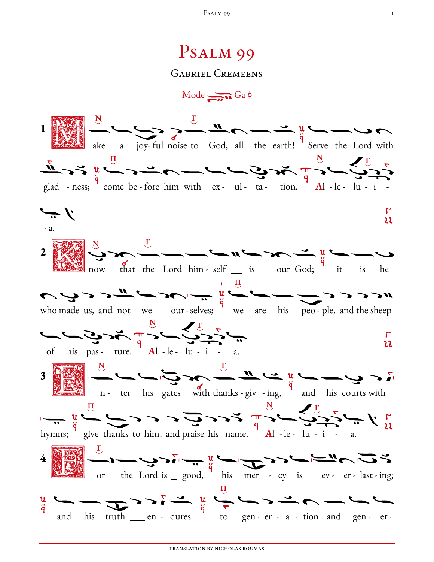## Psalm 99

Gabriel Cremeens

 $Mode \rightarrow Ga \phi$